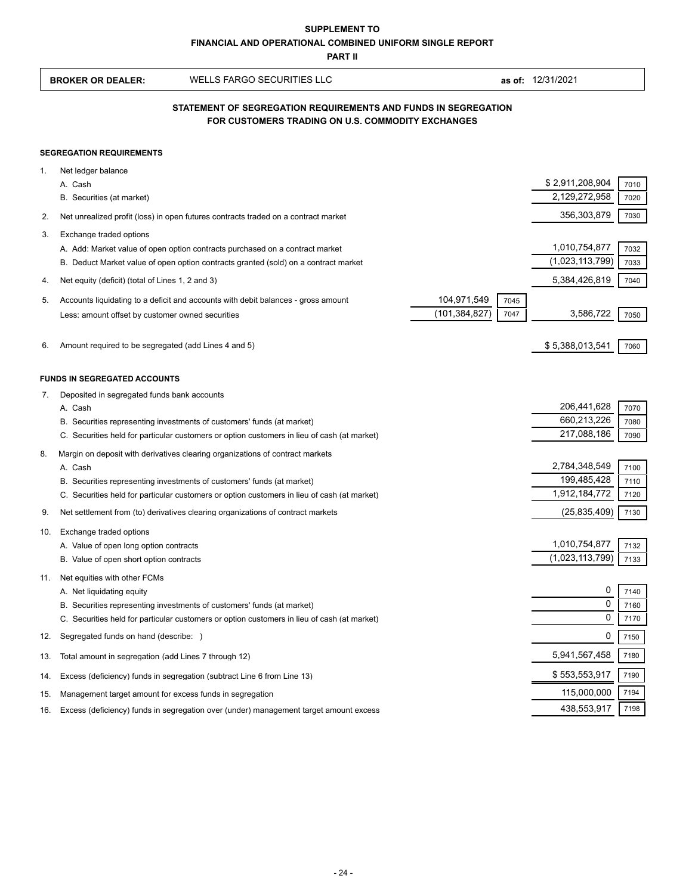| FINANCIAL AND OPERATIONAL COMBINED UNIFORM SINGLE REPORT<br><b>PART II</b> |                                                                                                                     |                                                                                                                                                                       |                                                |                                  |              |  |  |
|----------------------------------------------------------------------------|---------------------------------------------------------------------------------------------------------------------|-----------------------------------------------------------------------------------------------------------------------------------------------------------------------|------------------------------------------------|----------------------------------|--------------|--|--|
|                                                                            | <b>BROKER OR DEALER:</b>                                                                                            | <b>WELLS FARGO SECURITIES LLC</b>                                                                                                                                     |                                                | as of: 12/31/2021                |              |  |  |
|                                                                            | STATEMENT OF SEGREGATION REQUIREMENTS AND FUNDS IN SEGREGATION<br>FOR CUSTOMERS TRADING ON U.S. COMMODITY EXCHANGES |                                                                                                                                                                       |                                                |                                  |              |  |  |
|                                                                            | <b>SEGREGATION REQUIREMENTS</b>                                                                                     |                                                                                                                                                                       |                                                |                                  |              |  |  |
| 1.                                                                         | Net ledger balance<br>A. Cash<br>B. Securities (at market)                                                          |                                                                                                                                                                       |                                                | \$2,911,208,904<br>2,129,272,958 | 7010<br>7020 |  |  |
| 2.                                                                         |                                                                                                                     | Net unrealized profit (loss) in open futures contracts traded on a contract market                                                                                    |                                                | 356,303,879                      | 7030         |  |  |
| 3.                                                                         | Exchange traded options                                                                                             | A. Add: Market value of open option contracts purchased on a contract market<br>B. Deduct Market value of open option contracts granted (sold) on a contract market   |                                                | 1,010,754,877<br>(1,023,113,799) | 7032<br>7033 |  |  |
| 4.                                                                         | Net equity (deficit) (total of Lines 1, 2 and 3)                                                                    |                                                                                                                                                                       |                                                | 5,384,426,819                    | 7040         |  |  |
| 5.                                                                         | Less: amount offset by customer owned securities                                                                    | Accounts liquidating to a deficit and accounts with debit balances - gross amount                                                                                     | 104,971,549<br>7045<br>(101, 384, 827)<br>7047 | 3,586,722                        | 7050         |  |  |
| 6.                                                                         | Amount required to be segregated (add Lines 4 and 5)                                                                |                                                                                                                                                                       |                                                | \$5,388,013,541                  | 7060         |  |  |
|                                                                            | <b>FUNDS IN SEGREGATED ACCOUNTS</b>                                                                                 |                                                                                                                                                                       |                                                |                                  |              |  |  |
| 7.                                                                         | Deposited in segregated funds bank accounts                                                                         |                                                                                                                                                                       |                                                |                                  |              |  |  |
|                                                                            | A. Cash                                                                                                             |                                                                                                                                                                       |                                                | 206,441,628<br>660,213,226       | 7070         |  |  |
|                                                                            |                                                                                                                     | B. Securities representing investments of customers' funds (at market)<br>C. Securities held for particular customers or option customers in lieu of cash (at market) |                                                | 217,088,186                      | 7080<br>7090 |  |  |
| 8.                                                                         |                                                                                                                     | Margin on deposit with derivatives clearing organizations of contract markets                                                                                         |                                                |                                  |              |  |  |
|                                                                            | A. Cash                                                                                                             |                                                                                                                                                                       |                                                | 2,784,348,549                    | 7100         |  |  |
|                                                                            |                                                                                                                     | B. Securities representing investments of customers' funds (at market)                                                                                                |                                                | 199,485,428                      | 7110         |  |  |
|                                                                            |                                                                                                                     | C. Securities held for particular customers or option customers in lieu of cash (at market)                                                                           |                                                | 1,912,184,772                    | 7120         |  |  |
| 9.                                                                         |                                                                                                                     | Net settlement from (to) derivatives clearing organizations of contract markets                                                                                       |                                                | (25, 835, 409)                   | 7130         |  |  |
|                                                                            | 10. Exchange traded options                                                                                         |                                                                                                                                                                       |                                                |                                  |              |  |  |
|                                                                            | A. Value of open long option contracts<br>B. Value of open short option contracts                                   |                                                                                                                                                                       |                                                | 1,010,754,877<br>(1,023,113,799) | 7132<br>7133 |  |  |
| 11.                                                                        | Net equities with other FCMs                                                                                        |                                                                                                                                                                       |                                                |                                  |              |  |  |
|                                                                            | A. Net liquidating equity                                                                                           |                                                                                                                                                                       |                                                | 0                                | 7140         |  |  |
|                                                                            |                                                                                                                     | B. Securities representing investments of customers' funds (at market)                                                                                                |                                                | 0                                | 7160         |  |  |
|                                                                            |                                                                                                                     | C. Securities held for particular customers or option customers in lieu of cash (at market)                                                                           |                                                | 0                                | 7170         |  |  |
| 12.                                                                        | Segregated funds on hand (describe: )                                                                               |                                                                                                                                                                       |                                                | 0                                | 7150         |  |  |
| 13.                                                                        | Total amount in segregation (add Lines 7 through 12)                                                                |                                                                                                                                                                       |                                                | 5,941,567,458                    | 7180         |  |  |
| 14.                                                                        |                                                                                                                     | Excess (deficiency) funds in segregation (subtract Line 6 from Line 13)                                                                                               |                                                | \$553,553,917                    | 7190         |  |  |
| 15.                                                                        | Management target amount for excess funds in segregation                                                            |                                                                                                                                                                       |                                                | 115,000,000                      | 7194         |  |  |
| 16.                                                                        |                                                                                                                     | Excess (deficiency) funds in segregation over (under) management target amount excess                                                                                 |                                                | 438,553,917                      | 7198         |  |  |
|                                                                            |                                                                                                                     |                                                                                                                                                                       |                                                |                                  |              |  |  |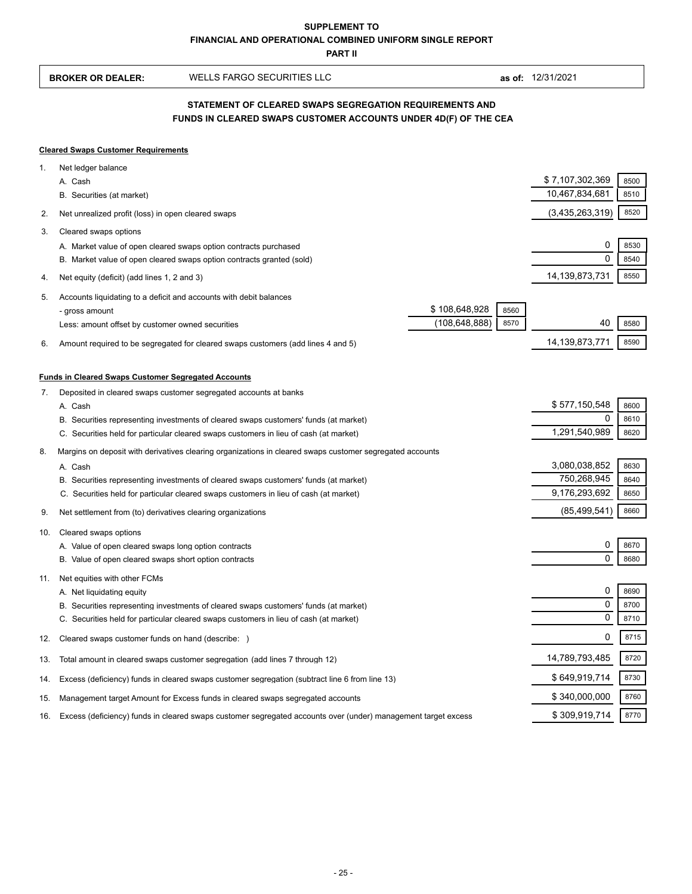**PART II**

| <b>BROKER OR DEALER:</b> | WELLS FARGO SECURITIES LLC |  |
|--------------------------|----------------------------|--|

**as of:** 12/31/2021

## **FUNDS IN CLEARED SWAPS CUSTOMER ACCOUNTS UNDER 4D(F) OF THE CEA STATEMENT OF CLEARED SWAPS SEGREGATION REQUIREMENTS AND**

## **Cleared Swaps Customer Requirements**

| 1.  | Net ledger balance                                                                                            |                 |      |                    |              |
|-----|---------------------------------------------------------------------------------------------------------------|-----------------|------|--------------------|--------------|
|     | A. Cash                                                                                                       |                 |      | \$ 7,107,302,369   | 8500         |
|     | B. Securities (at market)                                                                                     |                 |      | 10,467,834,681     | 8510         |
| 2.  | Net unrealized profit (loss) in open cleared swaps                                                            |                 |      | (3,435,263,319)    | 8520         |
| 3.  | Cleared swaps options                                                                                         |                 |      |                    |              |
|     | A. Market value of open cleared swaps option contracts purchased                                              |                 |      | 0                  | 8530         |
|     | B. Market value of open cleared swaps option contracts granted (sold)                                         |                 |      | 0                  | 8540         |
| 4.  | Net equity (deficit) (add lines 1, 2 and 3)                                                                   |                 |      | 14,139,873,731     | 8550         |
| 5.  | Accounts liquidating to a deficit and accounts with debit balances                                            |                 |      |                    |              |
|     | - gross amount                                                                                                | \$108,648,928   | 8560 |                    |              |
|     | Less: amount offset by customer owned securities                                                              | (108, 648, 888) | 8570 | 40                 | 8580         |
| 6.  | Amount required to be segregated for cleared swaps customers (add lines 4 and 5)                              |                 |      | 14,139,873,771     | 8590         |
|     |                                                                                                               |                 |      |                    |              |
|     | <b>Funds in Cleared Swaps Customer Segregated Accounts</b>                                                    |                 |      |                    |              |
| 7.  | Deposited in cleared swaps customer segregated accounts at banks                                              |                 |      |                    |              |
|     | A. Cash<br>B. Securities representing investments of cleared swaps customers' funds (at market)               |                 |      | \$577,150,548<br>0 | 8600<br>8610 |
|     | C. Securities held for particular cleared swaps customers in lieu of cash (at market)                         |                 |      | 1,291,540,989      | 8620         |
| 8.  | Margins on deposit with derivatives clearing organizations in cleared swaps customer segregated accounts      |                 |      |                    |              |
|     | A. Cash                                                                                                       |                 |      | 3,080,038,852      | 8630         |
|     | B. Securities representing investments of cleared swaps customers' funds (at market)                          |                 |      | 750,268,945        | 8640         |
|     | C. Securities held for particular cleared swaps customers in lieu of cash (at market)                         |                 |      | 9,176,293,692      | 8650         |
| 9.  | Net settlement from (to) derivatives clearing organizations                                                   |                 |      | (85, 499, 541)     | 8660         |
| 10. | Cleared swaps options                                                                                         |                 |      |                    |              |
|     | A. Value of open cleared swaps long option contracts                                                          |                 |      | 0                  | 8670         |
|     | B. Value of open cleared swaps short option contracts                                                         |                 |      |                    | 8680         |
| 11. | Net equities with other FCMs                                                                                  |                 |      |                    |              |
|     | A. Net liquidating equity                                                                                     |                 |      | 0                  | 8690         |
|     | B. Securities representing investments of cleared swaps customers' funds (at market)                          |                 |      | $\mathbf 0$        | 8700         |
|     | C. Securities held for particular cleared swaps customers in lieu of cash (at market)                         |                 |      | 0                  | 8710         |
| 12. | Cleared swaps customer funds on hand (describe: )                                                             |                 |      | 0                  | 8715         |
| 13. | Total amount in cleared swaps customer segregation (add lines 7 through 12)                                   |                 |      | 14,789,793,485     | 8720         |
| 14. | Excess (deficiency) funds in cleared swaps customer segregation (subtract line 6 from line 13)                |                 |      | \$649,919,714      | 8730         |
| 15. | Management target Amount for Excess funds in cleared swaps segregated accounts                                |                 |      | \$340,000,000      | 8760         |
| 16. | Excess (deficiency) funds in cleared swaps customer segregated accounts over (under) management target excess |                 |      | \$309,919,714      | 8770         |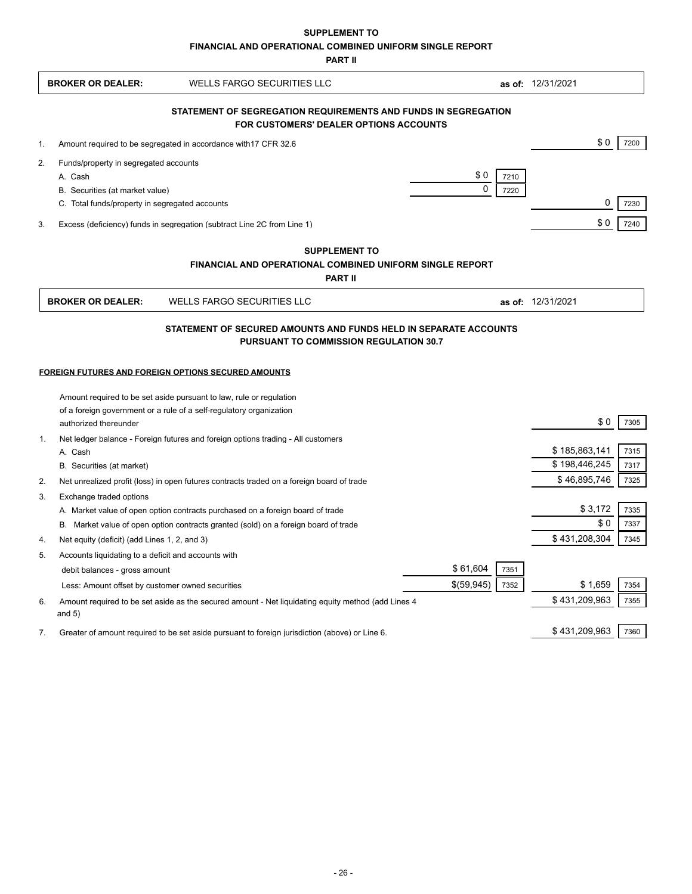**SUPPLEMENT TO**

**FINANCIAL AND OPERATIONAL COMBINED UNIFORM SINGLE REPORT**

**PART II**

|    | <b>BROKER OR DEALER:</b>                            | <b>WELLS FARGO SECURITIES LLC</b>                                                                                          |             |      | as of: 12/31/2021 |      |
|----|-----------------------------------------------------|----------------------------------------------------------------------------------------------------------------------------|-------------|------|-------------------|------|
|    |                                                     | STATEMENT OF SEGREGATION REQUIREMENTS AND FUNDS IN SEGREGATION<br>FOR CUSTOMERS' DEALER OPTIONS ACCOUNTS                   |             |      |                   |      |
| 1. |                                                     | Amount required to be segregated in accordance with 17 CFR 32.6                                                            |             |      | \$0               | 7200 |
| 2. | Funds/property in segregated accounts               |                                                                                                                            |             |      |                   |      |
|    | A. Cash                                             |                                                                                                                            | \$0         | 7210 |                   |      |
|    | B. Securities (at market value)                     |                                                                                                                            | $\mathbf 0$ | 7220 |                   |      |
|    | C. Total funds/property in segregated accounts      |                                                                                                                            |             |      | 0                 | 7230 |
| 3. |                                                     | Excess (deficiency) funds in segregation (subtract Line 2C from Line 1)                                                    |             |      | \$0               | 7240 |
|    |                                                     | <b>SUPPLEMENT TO</b>                                                                                                       |             |      |                   |      |
|    |                                                     | <b>FINANCIAL AND OPERATIONAL COMBINED UNIFORM SINGLE REPORT</b>                                                            |             |      |                   |      |
|    |                                                     | <b>PART II</b>                                                                                                             |             |      |                   |      |
|    | <b>BROKER OR DEALER:</b>                            | <b>WELLS FARGO SECURITIES LLC</b>                                                                                          |             |      | as of: 12/31/2021 |      |
|    |                                                     |                                                                                                                            |             |      |                   |      |
|    |                                                     | FOREIGN FUTURES AND FOREIGN OPTIONS SECURED AMOUNTS<br>Amount required to be set aside pursuant to law, rule or regulation |             |      |                   |      |
|    |                                                     | of a foreign government or a rule of a self-regulatory organization                                                        |             |      |                   |      |
|    | authorized thereunder                               |                                                                                                                            |             |      | \$0               | 7305 |
| 1. |                                                     | Net ledger balance - Foreign futures and foreign options trading - All customers                                           |             |      |                   |      |
|    | A. Cash                                             |                                                                                                                            |             |      | \$185,863,141     | 7315 |
|    | B. Securities (at market)                           |                                                                                                                            |             |      | \$198,446,245     | 7317 |
| 2. |                                                     | Net unrealized profit (loss) in open futures contracts traded on a foreign board of trade                                  |             |      | \$46,895,746      | 7325 |
| 3. | Exchange traded options                             |                                                                                                                            |             |      |                   |      |
|    |                                                     | A. Market value of open option contracts purchased on a foreign board of trade                                             |             |      | \$3,172           | 7335 |
|    |                                                     | B. Market value of open option contracts granted (sold) on a foreign board of trade                                        |             |      | \$0               | 7337 |
| 4. | Net equity (deficit) (add Lines 1, 2, and 3)        |                                                                                                                            |             |      | \$431,208,304     | 7345 |
| 5. | Accounts liquidating to a deficit and accounts with |                                                                                                                            |             |      |                   |      |
|    | debit balances - gross amount                       |                                                                                                                            | \$61,604    | 7351 |                   |      |
|    | Less: Amount offset by customer owned securities    |                                                                                                                            | \$(59,945)  | 7352 | \$1,659           | 7354 |
| 6. |                                                     | Amount required to be set aside as the secured amount - Net liquidating equity method (add Lines 4                         |             |      | \$431,209,963     | 7355 |
|    | and $5)$                                            |                                                                                                                            |             |      |                   |      |
| 7. |                                                     | Greater of amount required to be set aside pursuant to foreign jurisdiction (above) or Line 6.                             |             |      | \$431,209,963     | 7360 |